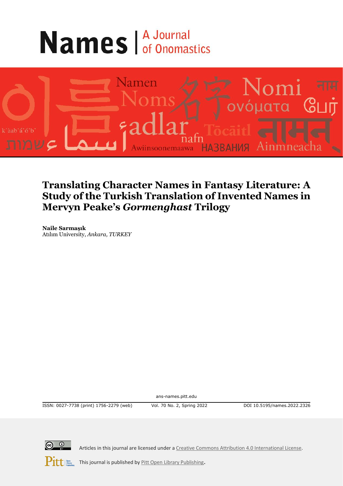# **Names A Journal**



## **Translating Character Names in Fantasy Literature: A Study of the Turkish Translation of Invented Names in Mervyn Peake's** *Gormenghast* **Trilogy**

**Naile Sarmaşık** Atılım University, *Ankara, TURKEY*

ans-names.pitt.edu

ISSN: 0027-7738 (print) 1756-2279 (web) Vol. 70 No. 2, Spring 2022 DOI 10.5195/names.2022.2326



Articles in this journal are licensed under [a Creative Commons Attribution 4.0 International License.](https://creativecommons.org/licenses/by/4.0/)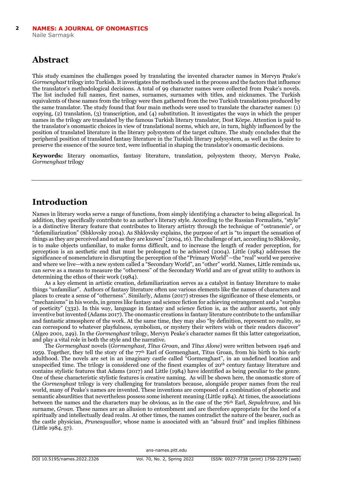## **Abstract**

This study examines the challenges posed by translating the invented character names in Mervyn Peake's *Gormenghast* trilogy into Turkish. It investigates the methods used in the process and the factors that influence the translator's methodological decisions. A total of 99 character names were collected from Peake's novels. The list included full names, first names, surnames, surnames with titles, and nicknames. The Turkish equivalents of these names from the trilogy were then gathered from the two Turkish translations produced by the same translator. The study found that four main methods were used to translate the character names: (1) copying, (2) translation, (3) transcription, and (4) substitution. It investigates the ways in which the proper names in the trilogy are translated by the famous Turkish literary translator, Dost Körpe. Attention is paid to the translator's onomastic choices in view of translational norms, which are, in turn, highly influenced by the position of translated literature in the literary polysystem of the target culture. The study concludes that the peripheral position of translated fantasy literature in the Turkish literary polysystem, as well as the desire to preserve the essence of the source text, were influential in shaping the translator's onomastic decisions.

**Keywords:** literary onomastics, fantasy literature, translation, polysystem theory, Mervyn Peake, *Gormenghast* trilogy

#### **Introduction**

Names in literary works serve a range of functions, from simply identifying a character to being allegorical. In addition, they specifically contribute to an author's literary style. According to the Russian Formalists, "style" is a distinctive literary feature that contributes to literary artistry through the technique of "ostranenie", or "defamiliarization" (Shklovsky 2004). As Shklovsky explains, the purpose of art is "to impart the sensation of things as they are perceived and not as they are known" (2004, 16). The challenge of art, according to Shklovsky, is to make objects unfamiliar, to make forms difficult, and to increase the length of reader perception, for perception is an aesthetic end that must be prolonged to be achieved (2004). Little (1984) addresses the significance of nomenclature in disrupting the perception of the "Primary World"—the "real" world we perceive and where we live—with a new system called a "Secondary World", an "other" world. Names, Little reminds us, can serve as a means to measure the "otherness" of the Secondary World and are of great utility to authors in determining the ethos of their work (1984).

As a key element in artistic creation, defamiliarization serves as a catalyst in fantasy literature to make things "unfamiliar". Authors of fantasy literature often use various elements like the names of characters and places to create a sense of "otherness". Similarly, Adams (2017) stresses the significance of these elements, or "mechanisms" in his words, in genres like fantasy and science fiction for achieving estrangement and a "surplus of poeticity" (332). In this way, language in fantasy and science fiction is, as the author asserts, not only inventive but invented (Adams 2017). The onomastic creations in fantasy literature contribute to the unfamiliar and fantastic atmosphere of the work. At the same time, they may also "by definition, represent no reality, so can correspond to whatever playfulness, symbolism, or mystery their writers wish or their readers discover" (Algeo 2001, 249). In the *Gormenghast* trilogy, Mervyn Peake's character names fit this latter categorization, and play a vital role in both the style and the narrative.

The *Gormenghast* novels (*Gormenghast, Titus Groan*, and *Titus Alone*) were written between 1946 and 1959. Together, they tell the story of the 77th Earl of Gormenghast, Titus Groan, from his birth to his early adulthood. The novels are set in an imaginary castle called "Gormenghast", in an undefined location and unspecified time. The trilogy is considered one of the finest examples of 20th century fantasy literature and contains stylistic features that Adams (2017) and Little (1984) have identified as being peculiar to the genre. One of these characteristic stylistic features is creative naming. As will be shown here, the onomastic store of the *Gormenghast* trilogy is very challenging for translators because, alongside proper names from the real world, many of Peake's names are invented. These inventions are composed of a combination of phonetic and semantic absurdities that nevertheless possess some inherent meaning (Little 1984). At times, the associations between the names and the characters may be obvious, as in the case of the 76th Earl, *Sepulchrave,* and his surname, *Groan*. These names are an allusion to entombment and are therefore appropriate for the lord of a spiritually and intellectually dead realm. At other times, the names contradict the nature of the bearer, such as the castle physician, *Prunesquallor,* whose name is associated with an "absurd fruit" and implies filthiness (Little 1984, 57).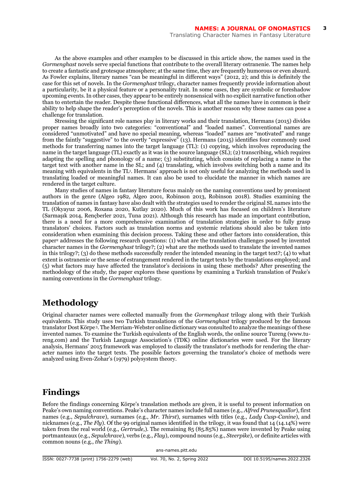As the above examples and other examples to be discussed in this article show, the names used in the *Gormenghast* novels serve special functions that contribute to the overall literary ostranenie*.* The names help to create a fantastic and grotesque atmosphere; at the same time, they are frequently humorous or even absurd. As Fowler explains, literary names "can be meaningful in different ways" (2012, 2); and this is definitely the case for this set of novels. In the *Gormenghast* trilogy, character names frequently provide information about a particularity, be it a physical feature or a personality trait. In some cases, they are symbolic or foreshadow upcoming events. In other cases, they appear to be entirely nonsensical with no explicit narrative function other than to entertain the reader. Despite these functional differences, what all the names have in common is their ability to help shape the reader's perception of the novels. This is another reason why these names can pose a challenge for translation.

Stressing the significant role names play in literary works and their translation, Hermans (2015) divides proper names broadly into two categories: "conventional" and "loaded names". Conventional names are considered "unmotivated" and have no special meaning, whereas "loaded" names are "motivated" and range from the faintly "suggestive" to the overtly "expressive" (13). Hermans (2015) identifies four commonly used methods for transferring names into the target language (TL): (1) copying, which involves reproducing the name in the target language (TL) exactly as it was in the source language (SL); (2) transcribing, which requires adapting the spelling and phonology of a name; (3) substituting, which consists of replacing a name in the target text with another name in the SL; and (4) translating, which involves switching both a name and its meaning with equivalents in the TL<sup>1</sup> . Hermans' approach is not only useful for analyzing the methods used in translating loaded or meaningful names. It can also be used to elucidate the manner in which names are rendered in the target culture.

Many studies of names in fantasy literature focus mainly on the naming conventions used by prominent authors in the genre (Algeo 1982, Algeo 2001, Robinson 2013, Robinson 2018). Studies examining the translation of names in fantasy have also dealt with the strategies used to render the original SL names into the TL (Okyayuz 2006, Roxana 2020, Kutlay 2020). Much of this work has focused on children's literature (Sarmaşık 2014, Rençberler 2021, Tuna 2021). Although this research has made an important contribution, there is a need for a more comprehensive examination of translation strategies in order to fully grasp translators' choices. Factors such as translation norms and systemic relations should also be taken into consideration when examining this decision process. Taking these and other factors into consideration, this paper<sup>2</sup> addresses the following research questions: (1) what are the translation challenges posed by invented character names in the *Gormenghast* trilogy?; (2) what are the methods used to translate the invented names in this trilogy?; (3) do these methods successfully render the intended meaning in the target text?; (4) to what extent is ostranenie or the sense of estrangement rendered in the target texts by the translations employed; and (5) what factors may have affected the translator's decisions in using these methods? After presenting the methodology of the study, the paper explores these questions by examining a Turkish translation of Peake's naming conventions in the *Gormenghast* trilogy.

## **Methodology**

Original character names were collected manually from the *Gormenghast* trilogy along with their Turkish equivalents. This study uses two Turkish translations of the *Gormenghast* trilogy produced by the famous translator Dost Körpe <sup>3</sup>. The Merriam-Webster online dictionary was consulted to analyze the meanings of these invented names. To examine the Turkish equivalents of the English words, the online source Tureng (www.tureng.com) and the Turkish Language Association's (TDK) online dictionaries were used. For the literary analysis, Hermans' 2015 framework was employed to classify the translator's methods for rendering the character names into the target texts. The possible factors governing the translator's choice of methods were analyzed using Even-Zohar's (1979) polysystem theory.

#### **Findings**

Before the findings concerning Körpe's translation methods are given, it is useful to present information on Peake's own naming conventions. Peake's character names include full names (e.g., *Alfred Prunesquallor*), first names (e.g., *Sepulchrave*), surnames (e.g., *Mr. Thirst*), surnames with titles (e.g., *Lady Cusp-Canine*), and nicknames (e.g., *The Fly*). Of the 99 original names identified in the trilogy, it was found that 14 (14.14%) were taken from the real world (e.g., *Gertrude,*). The remaining 85 (85.85%) names were invented by Peake using portmanteaux (e.g., *Sepulchrave*), verbs (e.g., *Flay*), compound nouns (e.g., *Steerpike*), or definite articles with common nouns (e.g., *the Thing*).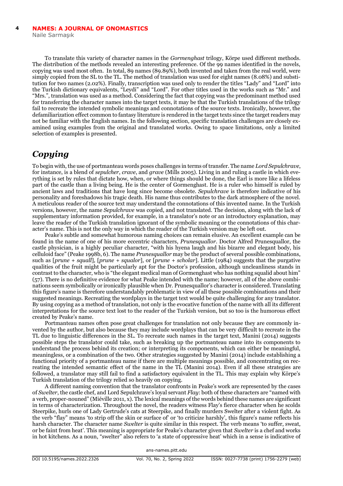To translate this variety of character names in the *Gormenghast* trilogy, Körpe used different methods. The distribution of the methods revealed an interesting preference. Of the 99 names identified in the novels, copying was used most often. In total, 89 names (89.89%), both invented and taken from the real world, were simply copied from the SL to the TL. The method of translation was used for eight names (8.08%) and substitution for two names (2.02%). Finally, transcription was used only to render the titles "Lady" and "Lord" into the Turkish dictionary equivalents, "Leydi" and "Lord". For other titles used in the works such as "Mr." and "Mrs.", translation was used as a method. Considering the fact that copying was the predominant method used for transferring the character names into the target texts, it may be that the Turkish translations of the trilogy fail to recreate the intended symbolic meanings and connotations of the source texts. Ironically, however, the defamiliarization effect common to fantasy literature is rendered in the target texts since the target readers may not be familiar with the English names. In the following section, specific translation challenges are closely examined using examples from the original and translated works. Owing to space limitations, only a limited selection of examples is presented.

#### *Copying*

To begin with, the use of portmanteau words poses challenges in terms of transfer. The name *Lord Sepulchrave*, for instance, is a blend of *sepulcher*, *crave*, and *grave* (Mills 2005). Living in and ruling a castle in which everything is set by rules that dictate how, when, or where things should be done, the Earl is more like a lifeless part of the castle than a living being. He is the center of Gormenghast. He is a ruler who himself is ruled by ancient laws and traditions that have long since become obsolete. *Sepulchrave* is therefore indicative of his personality and foreshadows his tragic death. His name thus contributes to the dark atmosphere of the novel. A meticulous reader of the source text may understand the connotations of this invented name. In the Turkish versions, however, the name *Sepulchrave* was copied, and not translated. The decision, along with the lack of supplementary information provided, for example, in a translator's note or an introductory explanation, may leave the reader of the Turkish translation ignorant of the symbolic meaning or the connotations of this character's name. This is not the only way in which the reader of the Turkish version may be left out.

Peake's subtle and somewhat humorous naming choices can remain elusive. An excellent example can be found in the name of one of his more eccentric characters, *Prunesquallor*. Doctor Alfred Prunesquallor, the castle physician, is a highly peculiar character, "with his hyena laugh and his bizarre and elegant body, his celluloid face" (Peake 1998b, 6). The name *Prunesquallor* may be the product of several possible combinations, such as [*prune + squall*]*,* [*prune + squalor*], or [*prune + scholar*]. Little (1984) suggests that the purgative qualities of the fruit might be particularly apt for the Doctor's profession, although uncleanliness stands in contrast to the character, who is "the elegant medical man of Gormenghast who has nothing squalid about him" (57). There is no definitive evidence for what Peake intended with the name; however, all of the above combinations seem symbolically or ironically plausible when Dr. Prunesquallor's character is considered. Translating this figure's name is therefore understandably problematic in view of all these possible combinations and their suggested meanings. Recreating the wordplays in the target text would be quite challenging for any translator. By using copying as a method of translation, not only is the evocative function of the name with all its different interpretations for the source text lost to the reader of the Turkish version, but so too is the humorous effect created by Peake's name.

Portmanteau names often pose great challenges for translation not only because they are commonly invented by the author, but also because they may include wordplays that can be very difficult to recreate in the TL due to linguistic differences in the SL. To recreate such names in the target text, Manini (2014) suggests possible steps the translator could take, such as breaking up the portmanteau name into its components to understand the process behind its creation; or interpreting its components, which can either be meaningful, meaningless, or a combination of the two. Other strategies suggested by Manini (2014) include establishing a functional priority of a portmanteau name if there are multiple meanings possible, and concentrating on recreating the intended semantic effect of the name in the TL (Manini 2014). Even if all these strategies are followed, a translator may still fail to find a satisfactory equivalent in the TL. This may explain why Körpe's Turkish translation of the trilogy relied so heavily on copying.

A different naming convention that the translator confronts in Peake's work are represented by the cases of *Swelter*, the castle chef, and Lord Sepulchrave's loyal servant *Flay*: both of these characters are "named with a verb, proper-nouned" (Miéville 2011, x). The lexical meanings of the words behind these names are significant in terms of characterization. Throughout the novel, the readers witness Flay's fierce character when he scolds Steerpike, hurls one of Lady Gertrude's cats at Steerpike, and finally murders Swelter after a violent fight. As the verb "flay" means 'to strip off the skin or surface of' or 'to criticize harshly', this figure's name reflects his harsh character. The character name *Swelter* is quite similar in this respect*.* The verb means 'to suffer, sweat, or be faint from heat'. This meaning is appropriate for Peake's character given that *Swelter* is a chef and works in hot kitchens. As a noun, "swelter" also refers to 'a state of oppressive heat' which in a sense is indicative of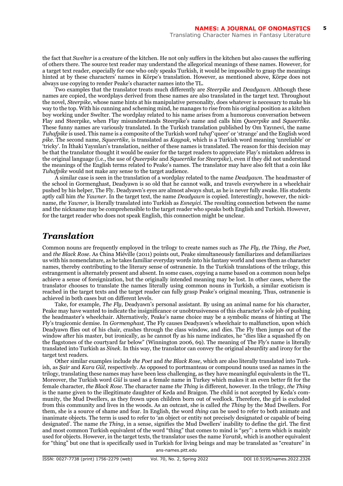the fact that *Swelter* is a creature of the kitchen. He not only suffers in the kitchen but also causes the suffering of others there. The source text reader may understand the allegorical meanings of these names. However, for a target text reader, especially for one who only speaks Turkish, it would be impossible to grasp the meanings hinted at by these characters' names in Körpe's translation. However, as mentioned above, Körpe does not always use copying to render Peake's character names into the TL.

Two examples that the translator treats much differently are *Steerpike* and *Deadyawn*. Although these names are copied, the wordplays derived from these names are also translated in the target text. Throughout the novel, *Steerpike*, whose name hints at his manipulative personality, does whatever is necessary to make his way to the top. With his cunning and scheming mind, he manages to rise from his original position as a kitchen boy working under Swelter. The wordplay related to his name arises from a humorous conversation between Flay and Steerpike, when Flay misunderstands Steerpike's name and calls him *Queerpike* and *Squeertike.* These funny names are variously translated. In the Turkish translation published by Om Yayınevi, the name *Tuhafpike* is used. This name is a composite of the Turkish word *tuhaf* 'queer' or 'strange' and the English word *pike*. The second name, *Squeertike,* is translated as *Kaypak*, which is a Turkish word meaning 'unreliable' or 'tricky'. In İthaki Yayınları's translation, neither of these names is translated. The reason for this decision may be that the translator thought it would be easier for the target readers to appreciate Flay's mistaken address in the original language (i.e., the use of *Queerpike* and *Squeertike* for *Steerpike*), even if they did not understand the meanings of the English terms related to Peake's names. The translator may have also felt that a coin like *Tuhafpike* would not make any sense to the target audience.

A similar case is seen in the translation of a wordplay related to the name *Deadyawn*. The headmaster of the school in Gormenghast, Deadyawn is so old that he cannot walk, and travels everywhere in a wheelchair pushed by his helper, The Fly. Deadyawn's eyes are almost always shut, as he is never fully awake. His students aptly call him *the Yawner*. In the target text, the name *Deadyawn* is copied. Interestingly, however, the nickname, *the Yawner*, is literally translated into Turkish as *Esneyici*. The resulting connection between the name and the nickname may be comprehensible to the target reader who speaks both English and Turkish. However, for the target reader who does not speak English, this connection might be unclear.

#### *Translation*

Common nouns are frequently employed in the trilogy to create names such as *The Fly, the Thing, the Poet,*  and *the Black Rose.* As China Miéville (2011) points out, Peake simultaneously familiarizes and defamiliarizes us with his nomenclature, as he takes familiar everyday words into his fantasy world and uses them as character names, thereby contributing to the literary sense of ostranenie*.* In the Turkish translations of the trilogy, this estrangement is alternately present and absent. In some cases, copying a name based on a common noun helps achieve a sense of foreignization, but the originally intended meaning may be lost. In other cases, where the translator chooses to translate the names literally using common nouns in Turkish, a similar exoticism is reached in the target texts and the target reader can fully grasp Peake's original meaning. Thus, ostranenie is achieved in both cases but on different levels.

Take, for example, *The Fly*, Deadyawn's personal assistant. By using an animal name for his character, Peake may have wanted to indicate the insignificance or unobtrusiveness of this character's sole job of pushing the headmaster's wheelchair. Alternatively, Peake's name choice may be a symbolic means of hinting at The Fly's tragicomic demise. In *Gormenghast,* The Fly causes Deadyawn's wheelchair to malfunction, upon which Deadyawn flies out of his chair, crashes through the class window, and dies. The Fly then jumps out of the window after his master, but ironically, as he cannot fly as his name indicates, he "dies like a squashed fly on the flagstones of the courtyard far below" (Winnington 2006, 69). The meaning of The Fly's name is literally translated into Turkish as *Sinek*. In this way, the translator can convey the original absurdity and irony for the target text readers.

Other similar examples include *the Poet* and *the Black Rose,* which are also literally translated into Turkish, as *Şair* and *Kara Gül,* respectively. As opposed to portmanteau or compound nouns used as names in the trilogy, translating these names may have been less challenging, as they have meaningful equivalents in the TL. Moreover, the Turkish word *Gül* is used as a female name in Turkey which makes it an even better fit for the female character, *the Black Rose*. The character name *the Thing* is different, however. In the trilogy, *the Thing* is the name given to the illegitimate daughter of Keda and Braigon. The child is not accepted by Keda's community, the Mud Dwellers, as they frown upon children born out of wedlock. Therefore, the girl is excluded from this community and lives in the woods. As an outcast, she is called *the Thing* by the Mud Dwellers. For them, she is a source of shame and fear. In English, the word *thing* can be used to refer to both animate and inanimate objects. The term is used to refer to 'an object or entity not precisely designated or capable of being designated'. The name *the Thing*, in a sense, signifies the Mud Dwellers' inability to define the girl. The first and most common Turkish equivalent of the word "thing" that comes to mind is "şey": a term which is mainly used for objects. However, in the target texts, the translator uses the name *Yaratık,* which is another equivalent for "thing" but one that is specifically used in Turkish for living beings and may be translated as "creature" in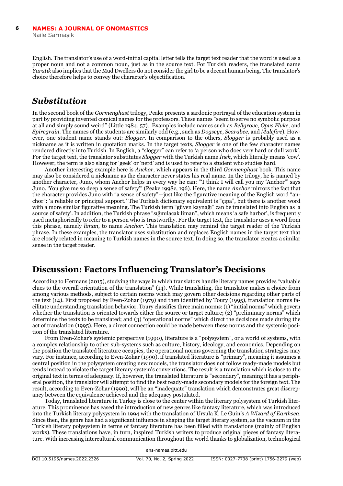English. The translator's use of a word-initial capital letter tells the target text reader that the word is used as a proper noun and not a common noun, just as in the source text. For Turkish readers, the translated name *Yaratık* also implies that the Mud Dwellers do not consider the girl to be a decent human being. The translator's choice therefore helps to convey the character's objectification.

## *Substitution*

In the second book of the *Gormenghast* trilogy, Peake presents a sardonic portrayal of the education system in part by providing invented comical names for the professors. These names "seem to serve no symbolic purpose at all and simply sound weird" (Little 1984, 57). Examples include names such as *Bellgrove, Opus Fluke,* and *Spiregrain.* The names of the students are similarly odd (e.g., such as *Dogseye, Scarabee,* and *Mulefire*). However, one student name stands out: *Slogger.* In comparison to the others, *Slogger* is probably used as a nickname as it is written in quotation marks. In the target texts, *Slogger* is one of the few character names rendered directly into Turkish. In English, a "slogger" can refer to 'a person who does very hard or dull work'. For the target text, the translator substitutes *Slogger* with the Turkish name *İnek*, which literally means 'cow'. However, the term is also slang for 'geek' or 'nerd' and is used to refer to a student who studies hard.

Another interesting example here is *Anchor,* which appears in the third *Gormenghast* book. This name may also be considered a nickname as the character never states his real name. In the trilogy, he is named by another character, Juno, whom Anchor helps in every way he can: "'I think I will call you my 'Anchor"' says Juno. 'You give me so deep a sense of safety'" (Peake 1998c, 196). Here, the name *Anchor* mirrors the fact that the character provides Juno with "a sense of safety"—just like the figurative meaning of the English word "anchor": 'a reliable or principal support.' The Turkish dictionary equivalent is "çıpa", but there is another word with a more similar figurative meaning. The Turkish term "güven kaynağı" can be translated into English as 'a source of safety'. In addition, the Turkish phrase "sığınılacak liman", which means 'a safe harbor', is frequently used metaphorically to refer to a person who is trustworthy. For the target text, the translator uses a word from this phrase, namely *liman*, to name *Anchor*. This translation may remind the target reader of the Turkish phrase. In these examples, the translator uses substitution and replaces English names in the target text that are closely related in meaning to Turkish names in the source text. In doing so, the translator creates a similar sense in the target reader.

#### **Discussion: Factors Influencing Translator's Decisions**

According to Hermans (2015), studying the ways in which translators handle literary names provides "valuable clues to the overall orientation of the translation" (14). While translating, the translator makes a choice from among various methods, subject to certain norms which may govern other decisions regarding other parts of the text (14). First proposed by Even-Zohar (1979) and then identified by Toury (1995), translation norms facilitate understanding translation behavior. Toury classifies three main norms: (1) "initial norms" which govern whether the translation is oriented towards either the source or target culture; (2) "preliminary norms" which determine the texts to be translated; and (3) "operational norms" which direct the decisions made during the act of translation (1995). Here, a direct connection could be made between these norms and the systemic position of the translated literature.

From Even-Zohar's systemic perspective (1990), literature is a "polysystem", or a world of systems, with a complex relationship to other sub-systems such as culture, history, ideology, and economics. Depending on the position the translated literature occupies, the operational norms governing the translation strategies may vary. For instance, according to Even-Zohar (1990), if translated literature is "primary", meaning it assumes a central position in the polysystem creating new models, the translator does not follow ready-made models but tends instead to violate the target literary system's conventions. The result is a translation which is close to the original text in terms of adequacy. If, however, the translated literature is "secondary", meaning it has a peripheral position, the translator will attempt to find the best ready-made secondary models for the foreign text. The result, according to Even-Zohar (1990), will be an "inadequate" translation which demonstrates great discrepancy between the equivalence achieved and the adequacy postulated.

Today, translated literature in Turkey is close to the center within the literary polysystem of Turkish literature. This prominence has eased the introduction of new genres like fantasy literature, which was introduced into the Turkish literary polysystem in 1994 with the translation of Ursula K. Le Guin's *A Wizard of Earthsea*. Since then, the genre has had a significant influence in shaping the target literary system, as the vacuum in the Turkish literary polysystem in terms of fantasy literature has been filled with translations (mainly of English works). These translations have, in turn, inspired Turkish writers to produce original pieces of fantasy literature. With increasing intercultural communication throughout the world thanks to globalization, technological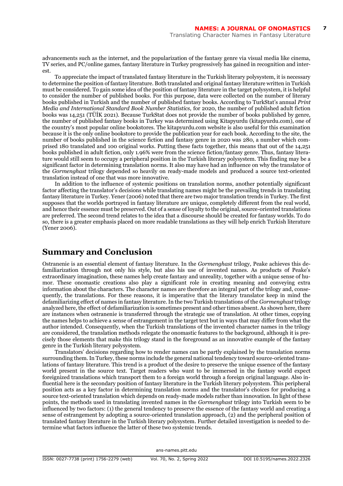advancements such as the internet, and the popularization of the fantasy genre via visual media like cinema, TV series, and PC/online games, fantasy literature in Turkey progressively has gained in recognition and interest.

To appreciate the impact of translated fantasy literature in the Turkish literary polysystem, it is necessary to determine the position of fantasy literature. Both translated and original fantasy literature written in Turkish must be considered. To gain some idea of the position of fantasy literature in the target polysystem, it is helpful to consider the number of published books. For this purpose, data were collected on the number of literary books published in Turkish and the number of published fantasy books. According to TurkStat's annual *Print Media and International Standard Book Number Statistics,* for 2020, the number of published adult fiction books was 14,251 (TÜİK 2021). Because TurkStat does not provide the number of books published by genre, the number of published fantasy books in Turkey was determined using Kitapyurdu (kitapyurdu.com), one of the country's most popular online bookstores. The kitapyurdu.com website is also useful for this examination because it is the only online bookstore to provide the publication year for each book. According to the site, the number of books published in the science fiction and fantasy genre in 2020 was 280, a number which comprised 180 translated and 100 original works. Putting these facts together, this means that out of the 14,251 books published in adult fiction, only 1.96% were from the science fiction/fantasy genre. Thus, fantasy literature would still seem to occupy a peripheral position in the Turkish literary polysystem. This finding may be a significant factor in determining translation norms. It also may have had an influence on why the translator of the *Gormenghast* trilogy depended so heavily on ready-made models and produced a source text-oriented translation instead of one that was more innovative.

In addition to the influence of systemic positions on translation norms, another potentially significant factor affecting the translator's decisions while translating names might be the prevailing trends in translating fantasy literature in Turkey. Yener (2006) noted that there are two major translation trends in Turkey. The first supposes that the worlds portrayed in fantasy literature are unique, completely different from the real world, and hence their essence must be preserved. Out of a sense of loyalty to the original, source-oriented translations are preferred. The second trend relates to the idea that a discourse should be created for fantasy worlds. To do so, there is a greater emphasis placed on more readable translations as they will help enrich Turkish literature (Yener 2006).

#### **Summary and Conclusion**

Ostranenie is an essential element of fantasy literature. In the *Gormenghast* trilogy*,* Peake achieves this defamiliarization through not only his style, but also his use of invented names. As products of Peake's extraordinary imagination, these names help create fantasy and unreality, together with a unique sense of humor. These onomastic creations also play a significant role in creating meaning and conveying extra information about the characters. The character names are therefore an integral part of the trilogy and, consequently, the translations. For these reasons, it is imperative that the literary translator keep in mind the defamiliarizing effect of names in fantasy literature. In the two Turkish translations of the *Gormenghast* trilogy analyzed here, the effect of defamiliarization is sometimes present and other times absent. As shown here, there are instances when ostranenie is transferred through the strategic use of translation. At other times, copying the names helps to achieve a sense of estrangement in the target text but in ways that may differ from what the author intended. Consequently, when the Turkish translations of the invented character names in the trilogy are considered, the translation methods relegate the onomastic features to the background, although it is precisely those elements that make this trilogy stand in the foreground as an innovative example of the fantasy genre in the Turkish literary polysystem.

Translators' decisions regarding how to render names can be partly explained by the translation norms surrounding them. In Turkey, these norms include the general national tendency toward source-oriented translations of fantasy literature. This trend is a product of the desire to preserve the unique essence of the fantasy world present in the source text. Target readers who want to be immersed in the fantasy world expect foreignized translations which transport them to a foreign world through a foreign original language. Also influential here is the secondary position of fantasy literature in the Turkish literary polysystem. This peripheral position acts as a key factor in determining translation norms and the translator's choices for producing a source text-oriented translation which depends on ready-made models rather than innovation. In light of these points, the methods used in translating invented names in the *Gormenghast* trilogy into Turkish seem to be influenced by two factors: (1) the general tendency to preserve the essence of the fantasy world and creating a sense of estrangement by adopting a source-oriented translation approach, (2) and the peripheral position of translated fantasy literature in the Turkish literary polysystem. Further detailed investigation is needed to determine what factors influence the latter of these two systemic trends.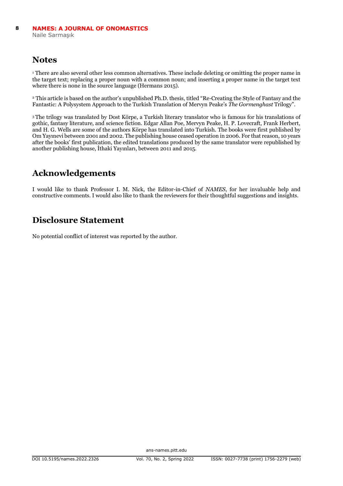#### **Notes**

<sup>1</sup> There are also several other less common alternatives. These include deleting or omitting the proper name in the target text; replacing a proper noun with a common noun; and inserting a proper name in the target text where there is none in the source language (Hermans 2015).

<sup>2</sup> This article is based on the author's unpublished Ph.D. thesis, titled "Re-Creating the Style of Fantasy and the Fantastic: A Polysystem Approach to the Turkish Translation of Mervyn Peake's *The Gormenghast* Trilogy".

<sup>3</sup>The trilogy was translated by Dost Körpe, a Turkish literary translator who is famous for his translations of gothic, fantasy literature, and science fiction. Edgar Allan Poe, Mervyn Peake, H. P. Lovecraft, Frank Herbert, and H. G. Wells are some of the authors Körpe has translated into Turkish. The books were first published by Om Yayınevi between 2001 and 2002. The publishing house ceased operation in 2006. For that reason, 10 years after the books' first publication, the edited translations produced by the same translator were republished by another publishing house, İthaki Yayınları, between 2011 and 2015.

## **Acknowledgements**

I would like to thank Professor I. M. Nick, the Editor-in-Chief of *NAMES*, for her invaluable help and constructive comments. I would also like to thank the reviewers for their thoughtful suggestions and insights.

## **Disclosure Statement**

No potential conflict of interest was reported by the author.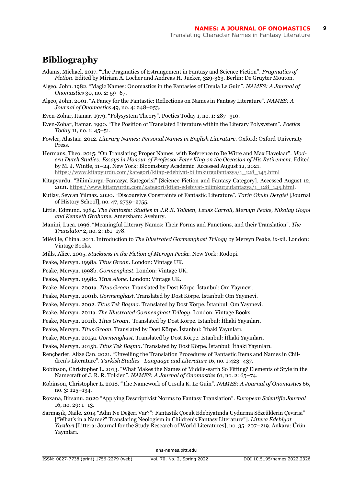#### **Bibliography**

- Adams, Michael. 2017. "The Pragmatics of Estrangement in Fantasy and Science Fiction". *Pragmatics of Fiction*. Edited by Miriam A. Locher and Andreas H. Jucker, 329-363. Berlin: De Gruyter Mouton.
- Algeo, John. 1982. "Magic Names: Onomastics in the Fantasies of Ursula Le Guin". *NAMES: A Journal of Onomastics* 30, no. 2: 59–67.
- Algeo, John. 2001. "A Fancy for the Fantastic: Reflections on Names in Fantasy Literature". *NAMES: A Journal of Onomastics* 49, no. 4: 248–253.
- Even-Zohar, Itamar. 1979. "Polysystem Theory". Poetics Today 1, no. 1: 287–310.
- Even-Zohar, Itamar. 1990. "The Position of Translated Literature within the Literary Polysystem". *Poetics Today* 11, no. 1: 45–51.
- Fowler, Alastair. 2012. *Literary Names: Personal Names in English Literature.* Oxford: Oxford University **Press**
- Hermans, Theo. 2015. "On Translating Proper Names, with Reference to De Witte and Max Havelaar". *Modern Dutch Studies: Essays in Honour of Professor Peter King on the Occasion of His Retirement*. Edited by M. J. Wintle, 11–24. New York: Bloomsbury Academic. Accessed August 12, 2021. [https://www.kitapyurdu.com/kategori/kitap-edebiyat-bilimkurgufantazya/1\\_128\\_145.html](https://www.kitapyurdu.com/kategori/kitap-edebiyat-bilimkurgufantazya/1_128_145.html)
- Kitapyurdu. "Bilimkurgu-Fantazya Kategorisi" [Science Fiction and Fantasy Category]. Accessed August 12, 2021[. https://www.kitapyurdu.com/kategori/kitap-edebiyat-bilimkurgufantazya/1\\_128\\_145.html.](https://www.kitapyurdu.com/kategori/kitap-edebiyat-bilimkurgufantazya/1_128_145.html)
- Kutlay, Sevcan Yılmaz. 2020. "Discoursive Constraints of Fantastic Literature". *Tarih Okulu Dergisi* [Journal of History School], no. 47, 2739–2755.
- Little, Edmund. 1984. *The Fantasts: Studies in J.R.R. Tolkien, Lewis Carroll, Mervyn Peake, Nikolay Gogol and Kenneth Grahame.* Amersham: Avebury.
- Manini, Luca. 1996. "Meaningful Literary Names: Their Forms and Functions, and their Translation". *The Translator* 2, no. 2: 161–178.
- Miéville, China. 2011. Introduction to *The Illustrated Gormenghast Trilogy* by Mervyn Peake, ix-xii. London: Vintage Books.
- Mills, Alice. 2005. *Stuckness in the Fiction of Mervyn Peake.* New York: Rodopi.
- Peake, Mervyn. 1998a. *Titus Groan.* London: Vintage UK.
- Peake, Mervyn. 1998b. *Gormenghast.* London: Vintage UK.
- Peake, Mervyn. 1998c. *Titus Alone.* London: Vintage UK.
- Peake, Mervyn. 2001a. *Titus Groan.* Translated by Dost Körpe. İstanbul: Om Yayınevi.
- Peake, Mervyn. 2001b. *Gormenghast.* Translated by Dost Körpe. İstanbul: Om Yayınevi.
- Peake, Mervyn. 2002. *Titus Tek Başına.* Translated by Dost Körpe. İstanbul: Om Yayınevi.
- Peake, Mervyn. 2011a. *The Illustrated Gormenghast Trilogy.* London: Vintage Books.
- Peake, Mervyn. 2011b. *Titus Groan*. Translated by Dost Körpe. İstanbul: İthaki Yayınları.
- Peake, Mervyn. *Titus Groan.* Translated by Dost Körpe. İstanbul: İthaki Yayınları.
- Peake, Mervyn. 2015a. *Gormenghast.* Translated by Dost Körpe. İstanbul: İthaki Yayınları.
- Peake, Mervyn. 2015b. *Titus Tek Başına*. Translated by Dost Körpe. İstanbul: İthaki Yayınları.
- Rençberler, Alize Can. 2021. "Unveiling the Translation Procedures of Fantastic Items and Names in Children's Literature". *Turkish Studies - Language and Literature* 16*,* no. 1:423–437.
- Robinson, Christopher L. 2013. "What Makes the Names of Middle-earth So Fitting? Elements of Style in the Namecraft of J. R. R. Tolkien". *NAMES: A Journal of Onomastics* 61, no. 2: 65–74.
- Robinson, Christopher L. 2018. "The Namework of Ursula K. Le Guin". *NAMES: A Journal of Onomastics* 66, no. 3: 125–134.
- Roxana, Birsanu. 2020 "Applying Descriptivist Norms to Fantasy Translation". *European Scientific Journal*  16, no. 29: 1–13.
- Sarmaşık, Naile. 2014 "Adın Ne Değeri Var?": Fantastik Çocuk Edebiyatında Uydurma Sözcüklerin Çevirisi" ["What's in a Name?" Translating Neologism in Children's Fantasy Literature"]. *Littera Edebiyat Yazıları* [Littera: Journal for the Study Research of World Literatures], no. 35: 207–219. Ankara: Ürün Yayınları.